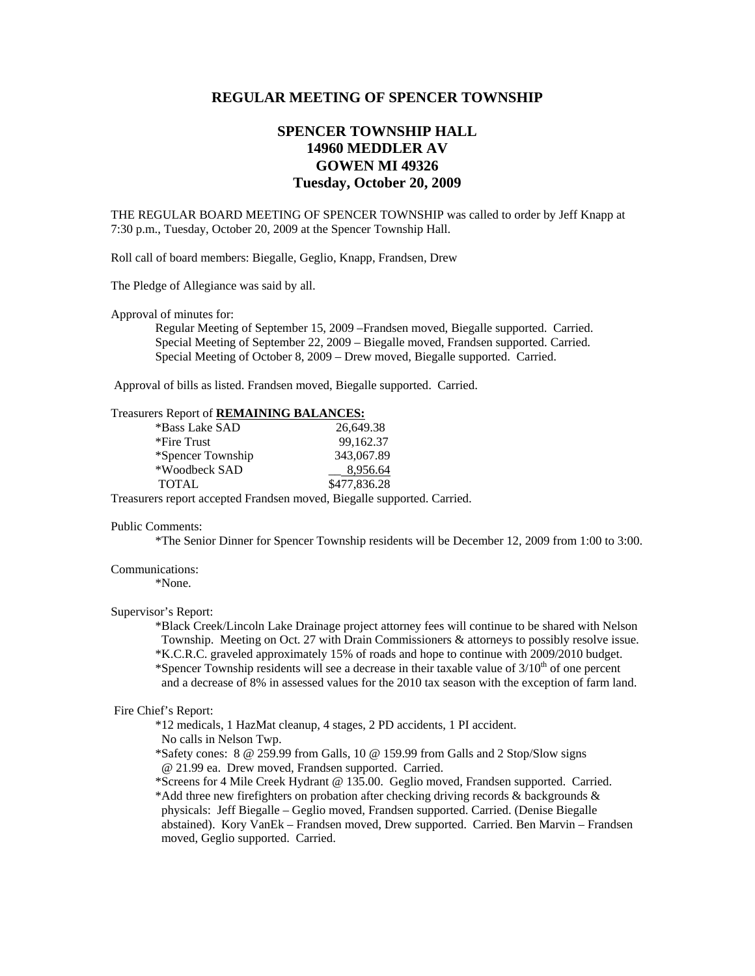# **REGULAR MEETING OF SPENCER TOWNSHIP**

# **SPENCER TOWNSHIP HALL 14960 MEDDLER AV GOWEN MI 49326 Tuesday, October 20, 2009**

THE REGULAR BOARD MEETING OF SPENCER TOWNSHIP was called to order by Jeff Knapp at 7:30 p.m., Tuesday, October 20, 2009 at the Spencer Township Hall.

Roll call of board members: Biegalle, Geglio, Knapp, Frandsen, Drew

The Pledge of Allegiance was said by all.

Approval of minutes for:

 Regular Meeting of September 15, 2009 –Frandsen moved, Biegalle supported. Carried. Special Meeting of September 22, 2009 – Biegalle moved, Frandsen supported. Carried. Special Meeting of October 8, 2009 – Drew moved, Biegalle supported. Carried.

Approval of bills as listed. Frandsen moved, Biegalle supported. Carried.

## Treasurers Report of **REMAINING BALANCES:**

| *Bass Lake SAD    | 26.649.38    |
|-------------------|--------------|
| *Fire Trust       | 99.162.37    |
| *Spencer Township | 343,067.89   |
| *Woodbeck SAD     | 8,956.64     |
| TOTAL             | \$477,836.28 |

Treasurers report accepted Frandsen moved, Biegalle supported. Carried.

#### Public Comments:

\*The Senior Dinner for Spencer Township residents will be December 12, 2009 from 1:00 to 3:00.

### Communications:

\*None.

### Supervisor's Report:

 \*Black Creek/Lincoln Lake Drainage project attorney fees will continue to be shared with Nelson Township. Meeting on Oct. 27 with Drain Commissioners & attorneys to possibly resolve issue. \*K.C.R.C. graveled approximately 15% of roads and hope to continue with 2009/2010 budget. \*Spencer Township residents will see a decrease in their taxable value of  $3/10<sup>th</sup>$  of one percent and a decrease of 8% in assessed values for the 2010 tax season with the exception of farm land.

# Fire Chief's Report:

\*12 medicals, 1 HazMat cleanup, 4 stages, 2 PD accidents, 1 PI accident.

No calls in Nelson Twp.

- \*Safety cones: 8 @ 259.99 from Galls, 10 @ 159.99 from Galls and 2 Stop/Slow signs @ 21.99 ea. Drew moved, Frandsen supported. Carried.
- \*Screens for 4 Mile Creek Hydrant @ 135.00. Geglio moved, Frandsen supported. Carried.

 \*Add three new firefighters on probation after checking driving records & backgrounds & physicals: Jeff Biegalle – Geglio moved, Frandsen supported. Carried. (Denise Biegalle abstained). Kory VanEk – Frandsen moved, Drew supported. Carried. Ben Marvin – Frandsen moved, Geglio supported. Carried.